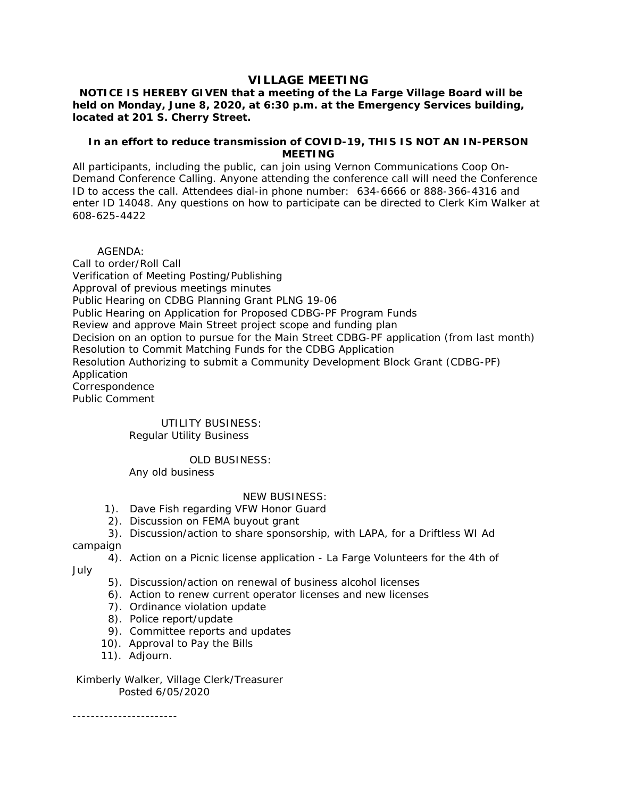# **VILLAGE MEETING**

 **NOTICE IS HEREBY GIVEN that a meeting of the La Farge Village Board will be held on Monday, June 8, 2020, at 6:30 p.m. at the Emergency Services building, located at 201 S. Cherry Street.**

## **In an effort to reduce transmission of COVID-19, THIS IS NOT AN IN-PERSON MEETING**

All participants, including the public, can join using Vernon Communications Coop On-Demand Conference Calling. Anyone attending the conference call will need the Conference ID to access the call. Attendees dial-in phone number: 634-6666 or 888-366-4316 and enter ID 14048. Any questions on how to participate can be directed to Clerk Kim Walker at 608-625-4422

 AGENDA: Call to order/Roll Call Verification of Meeting Posting/Publishing Approval of previous meetings minutes Public Hearing on CDBG Planning Grant PLNG 19-06 Public Hearing on Application for Proposed CDBG-PF Program Funds Review and approve Main Street project scope and funding plan Decision on an option to pursue for the Main Street CDBG-PF application (from last month) Resolution to Commit Matching Funds for the CDBG Application Resolution Authorizing to submit a Community Development Block Grant (CDBG-PF) Application Correspondence Public Comment

#### UTILITY BUSINESS: Regular Utility Business

### OLD BUSINESS:

Any old business

### NEW BUSINESS:

- 1). Dave Fish regarding VFW Honor Guard
- 2). Discussion on FEMA buyout grant
- 3). Discussion/action to share sponsorship, with LAPA, for a Driftless WI Ad

campaign

4). Action on a Picnic license application - La Farge Volunteers for the 4th of

July

- 5). Discussion/action on renewal of business alcohol licenses
- 6). Action to renew current operator licenses and new licenses
- 7). Ordinance violation update
- 8). Police report/update
- 9). Committee reports and updates
- 10). Approval to Pay the Bills
- 11). Adjourn.

 Kimberly Walker, Village Clerk/Treasurer Posted 6/05/2020

-----------------------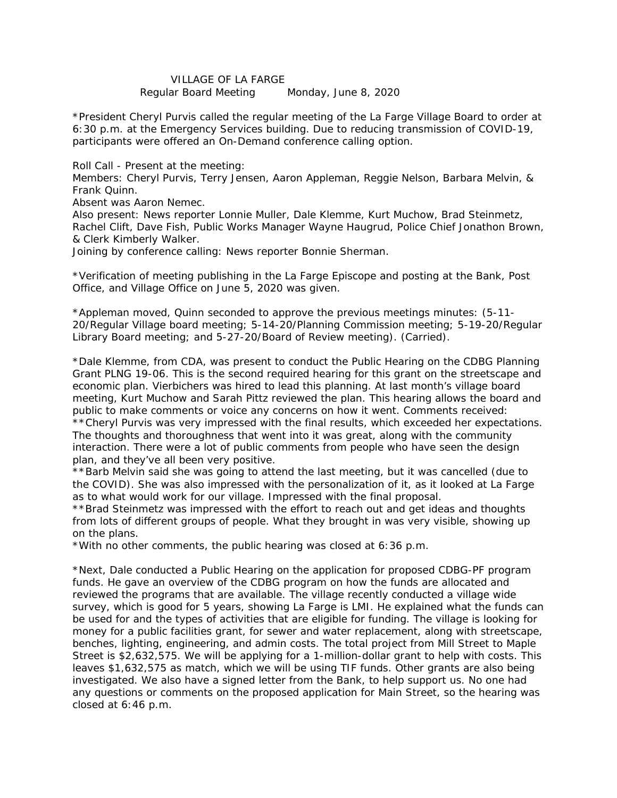## VILLAGE OF LA FARGE

Regular Board Meeting Monday, June 8, 2020

\*President Cheryl Purvis called the regular meeting of the La Farge Village Board to order at 6:30 p.m. at the Emergency Services building. Due to reducing transmission of COVID-19, participants were offered an On-Demand conference calling option.

Roll Call - Present at the meeting:

Members: Cheryl Purvis, Terry Jensen, Aaron Appleman, Reggie Nelson, Barbara Melvin, & Frank Quinn.

Absent was Aaron Nemec.

Also present: News reporter Lonnie Muller, Dale Klemme, Kurt Muchow, Brad Steinmetz, Rachel Clift, Dave Fish, Public Works Manager Wayne Haugrud, Police Chief Jonathon Brown, & Clerk Kimberly Walker.

Joining by conference calling: News reporter Bonnie Sherman.

\*Verification of meeting publishing in the La Farge Episcope and posting at the Bank, Post Office, and Village Office on June 5, 2020 was given.

\*Appleman moved, Quinn seconded to approve the previous meetings minutes: (5-11- 20/Regular Village board meeting; 5-14-20/Planning Commission meeting; 5-19-20/Regular Library Board meeting; and 5-27-20/Board of Review meeting). (Carried).

\*Dale Klemme, from CDA, was present to conduct the Public Hearing on the CDBG Planning Grant PLNG 19-06. This is the second required hearing for this grant on the streetscape and economic plan. Vierbichers was hired to lead this planning. At last month's village board meeting, Kurt Muchow and Sarah Pittz reviewed the plan. This hearing allows the board and public to make comments or voice any concerns on how it went. Comments received:

\*\*Cheryl Purvis was very impressed with the final results, which exceeded her expectations. The thoughts and thoroughness that went into it was great, along with the community interaction. There were a lot of public comments from people who have seen the design plan, and they've all been very positive.

\*\*Barb Melvin said she was going to attend the last meeting, but it was cancelled (due to the COVID). She was also impressed with the personalization of it, as it looked at La Farge as to what would work for our village. Impressed with the final proposal.

\*\*Brad Steinmetz was impressed with the effort to reach out and get ideas and thoughts from lots of different groups of people. What they brought in was very visible, showing up on the plans.

\*With no other comments, the public hearing was closed at 6:36 p.m.

\*Next, Dale conducted a Public Hearing on the application for proposed CDBG-PF program funds. He gave an overview of the CDBG program on how the funds are allocated and reviewed the programs that are available. The village recently conducted a village wide survey, which is good for 5 years, showing La Farge is LMI. He explained what the funds can be used for and the types of activities that are eligible for funding. The village is looking for money for a public facilities grant, for sewer and water replacement, along with streetscape, benches, lighting, engineering, and admin costs. The total project from Mill Street to Maple Street is \$2,632,575. We will be applying for a 1-million-dollar grant to help with costs. This leaves \$1,632,575 as match, which we will be using TIF funds. Other grants are also being investigated. We also have a signed letter from the Bank, to help support us. No one had any questions or comments on the proposed application for Main Street, so the hearing was closed at 6:46 p.m.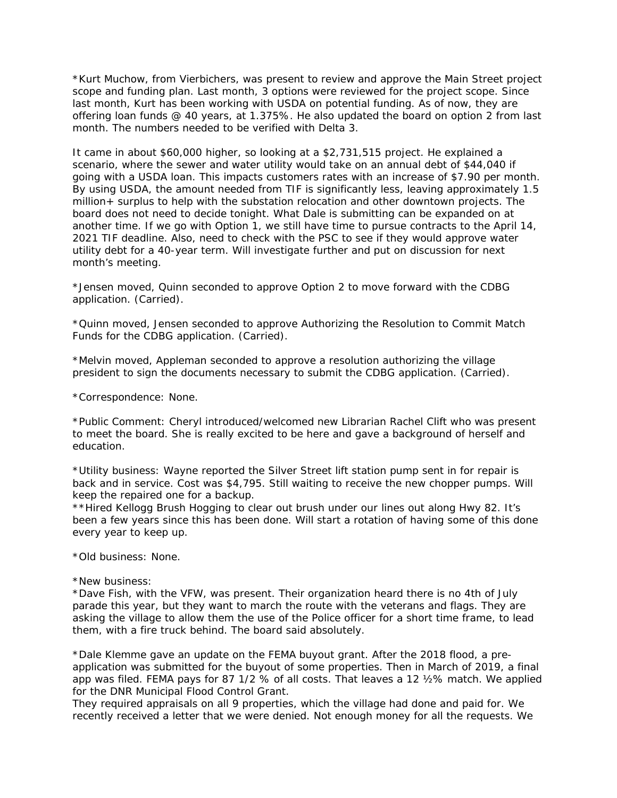\*Kurt Muchow, from Vierbichers, was present to review and approve the Main Street project scope and funding plan. Last month, 3 options were reviewed for the project scope. Since last month, Kurt has been working with USDA on potential funding. As of now, they are offering loan funds @ 40 years, at 1.375%. He also updated the board on option 2 from last month. The numbers needed to be verified with Delta 3.

It came in about \$60,000 higher, so looking at a \$2,731,515 project. He explained a scenario, where the sewer and water utility would take on an annual debt of \$44,040 if going with a USDA loan. This impacts customers rates with an increase of \$7.90 per month. By using USDA, the amount needed from TIF is significantly less, leaving approximately 1.5 million+ surplus to help with the substation relocation and other downtown projects. The board does not need to decide tonight. What Dale is submitting can be expanded on at another time. If we go with Option 1, we still have time to pursue contracts to the April 14, 2021 TIF deadline. Also, need to check with the PSC to see if they would approve water utility debt for a 40-year term. Will investigate further and put on discussion for next month's meeting.

\*Jensen moved, Quinn seconded to approve Option 2 to move forward with the CDBG application. (Carried).

\*Quinn moved, Jensen seconded to approve Authorizing the Resolution to Commit Match Funds for the CDBG application. (Carried).

\*Melvin moved, Appleman seconded to approve a resolution authorizing the village president to sign the documents necessary to submit the CDBG application. (Carried).

\*Correspondence: None.

\*Public Comment: Cheryl introduced/welcomed new Librarian Rachel Clift who was present to meet the board. She is really excited to be here and gave a background of herself and education.

\*Utility business: Wayne reported the Silver Street lift station pump sent in for repair is back and in service. Cost was \$4,795. Still waiting to receive the new chopper pumps. Will keep the repaired one for a backup.

\*\*Hired Kellogg Brush Hogging to clear out brush under our lines out along Hwy 82. It's been a few years since this has been done. Will start a rotation of having some of this done every year to keep up.

\*Old business: None.

\*New business:

\*Dave Fish, with the VFW, was present. Their organization heard there is no 4th of July parade this year, but they want to march the route with the veterans and flags. They are asking the village to allow them the use of the Police officer for a short time frame, to lead them, with a fire truck behind. The board said absolutely.

\*Dale Klemme gave an update on the FEMA buyout grant. After the 2018 flood, a preapplication was submitted for the buyout of some properties. Then in March of 2019, a final app was filed. FEMA pays for 87 1/2 % of all costs. That leaves a 12 ½% match. We applied for the DNR Municipal Flood Control Grant.

They required appraisals on all 9 properties, which the village had done and paid for. We recently received a letter that we were denied. Not enough money for all the requests. We